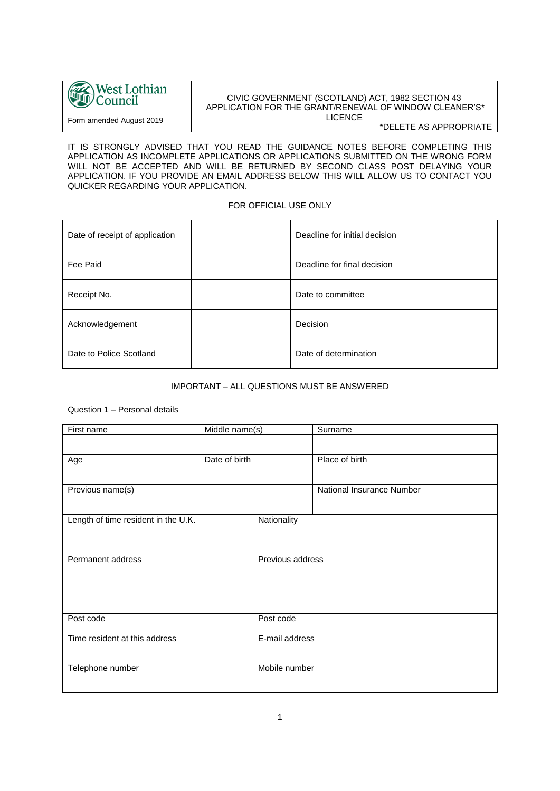

Form amended August 2019

# CIVIC GOVERNMENT (SCOTLAND) ACT, 1982 SECTION 43 APPLICATION FOR THE GRANT/RENEWAL OF WINDOW CLEANER'S\* LICENCE

\*DELETE AS APPROPRIATE

IT IS STRONGLY ADVISED THAT YOU READ THE GUIDANCE NOTES BEFORE COMPLETING THIS APPLICATION AS INCOMPLETE APPLICATIONS OR APPLICATIONS SUBMITTED ON THE WRONG FORM WILL NOT BE ACCEPTED AND WILL BE RETURNED BY SECOND CLASS POST DELAYING YOUR APPLICATION. IF YOU PROVIDE AN EMAIL ADDRESS BELOW THIS WILL ALLOW US TO CONTACT YOU QUICKER REGARDING YOUR APPLICATION.

## FOR OFFICIAL USE ONLY

| Date of receipt of application | Deadline for initial decision |
|--------------------------------|-------------------------------|
| Fee Paid                       | Deadline for final decision   |
| Receipt No.                    | Date to committee             |
| Acknowledgement                | Decision                      |
| Date to Police Scotland        | Date of determination         |

# IMPORTANT – ALL QUESTIONS MUST BE ANSWERED

#### Question 1 – Personal details

| First name                          | Middle name(s) |                  | Surname                   |  |
|-------------------------------------|----------------|------------------|---------------------------|--|
|                                     |                |                  |                           |  |
| Age                                 | Date of birth  |                  | Place of birth            |  |
|                                     |                |                  |                           |  |
|                                     |                |                  |                           |  |
| Previous name(s)                    |                |                  | National Insurance Number |  |
|                                     |                |                  |                           |  |
| Length of time resident in the U.K. |                | Nationality      |                           |  |
|                                     |                |                  |                           |  |
| Permanent address                   |                | Previous address |                           |  |
|                                     |                |                  |                           |  |
|                                     |                |                  |                           |  |
|                                     |                |                  |                           |  |
|                                     |                |                  |                           |  |
| Post code                           |                | Post code        |                           |  |
| Time resident at this address       |                | E-mail address   |                           |  |
|                                     |                |                  |                           |  |
|                                     |                | Mobile number    |                           |  |
| Telephone number                    |                |                  |                           |  |
|                                     |                |                  |                           |  |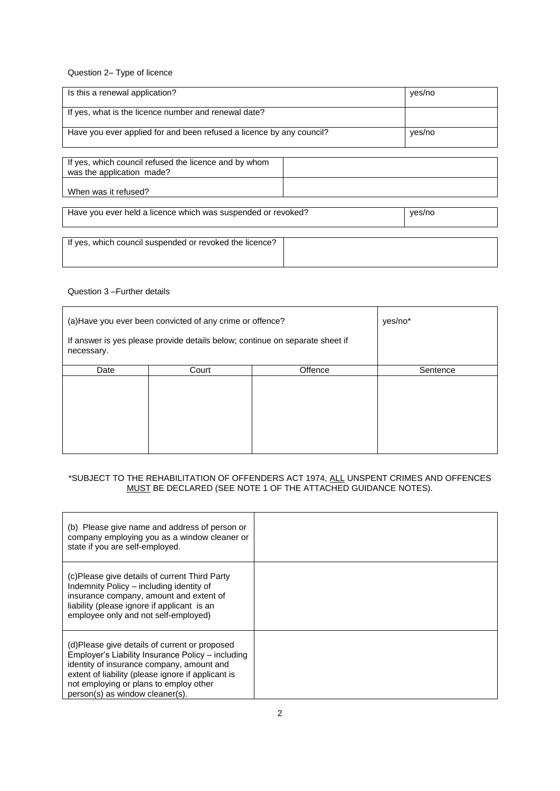Question 2– Type of licence

| Is this a renewal application?                                                     | yes/no |
|------------------------------------------------------------------------------------|--------|
| If yes, what is the licence number and renewal date?                               |        |
| Have you ever applied for and been refused a licence by any council?               | yes/no |
|                                                                                    |        |
| If yes, which council refused the licence and by whom<br>was the application made? |        |
| When was it refused?                                                               |        |
|                                                                                    |        |
| Have you ever held a licence which was suspended or revoked?                       | yes/no |

If yes, which council suspended or revoked the licence?

### Question 3 –Further details

| (a) Have you ever been convicted of any crime or offence?                                  |       | yes/no* |          |
|--------------------------------------------------------------------------------------------|-------|---------|----------|
| If answer is yes please provide details below; continue on separate sheet if<br>necessary. |       |         |          |
| Date                                                                                       | Court | Offence | Sentence |
|                                                                                            |       |         |          |

## \*SUBJECT TO THE REHABILITATION OF OFFENDERS ACT 1974, ALL UNSPENT CRIMES AND OFFENCES MUST BE DECLARED (SEE NOTE 1 OF THE ATTACHED GUIDANCE NOTES).

| (b) Please give name and address of person or<br>company employing you as a window cleaner or<br>state if you are self-employed.                                                                                                                                                   |  |
|------------------------------------------------------------------------------------------------------------------------------------------------------------------------------------------------------------------------------------------------------------------------------------|--|
| (c)Please give details of current Third Party<br>Indemnity Policy – including identity of<br>insurance company, amount and extent of<br>liability (please ignore if applicant is an<br>employee only and not self-employed)                                                        |  |
| (d)Please give details of current or proposed<br>Employer's Liability Insurance Policy – including<br>identity of insurance company, amount and<br>extent of liability (please ignore if applicant is<br>not employing or plans to employ other<br>person(s) as window cleaner(s). |  |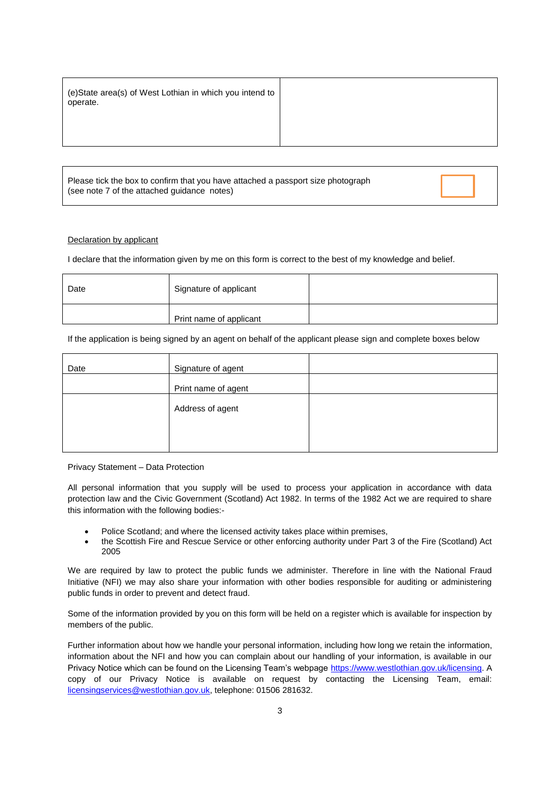|--|

Please tick the box to confirm that you have attached a passport size photograph (see note 7 of the attached guidance notes)

#### Declaration by applicant

I declare that the information given by me on this form is correct to the best of my knowledge and belief.

| Date | Signature of applicant  |  |
|------|-------------------------|--|
|      | Print name of applicant |  |

#### If the application is being signed by an agent on behalf of the applicant please sign and complete boxes below

| Date | Signature of agent  |  |
|------|---------------------|--|
|      | Print name of agent |  |
|      | Address of agent    |  |
|      |                     |  |

Privacy Statement – Data Protection

All personal information that you supply will be used to process your application in accordance with data protection law and the Civic Government (Scotland) Act 1982. In terms of the 1982 Act we are required to share this information with the following bodies:-

- Police Scotland; and where the licensed activity takes place within premises,
- the Scottish Fire and Rescue Service or other enforcing authority under Part 3 of the Fire (Scotland) Act 2005

We are required by law to protect the public funds we administer. Therefore in line with the National Fraud Initiative (NFI) we may also share your information with other bodies responsible for auditing or administering public funds in order to prevent and detect fraud.

Some of the information provided by you on this form will be held on a register which is available for inspection by members of the public.

Further information about how we handle your personal information, including how long we retain the information, information about the NFI and how you can complain about our handling of your information, is available in our Privacy Notice which can be found on the Licensing Team's webpage [https://www.westlothian.gov.uk/licensing.](https://www.westlothian.gov.uk/licensing) A copy of our Privacy Notice is available on request by contacting the Licensing Team, email: [licensingservices@westlothian.gov.uk,](mailto:licensingservices@westlothian.gov.uk) telephone: 01506 281632.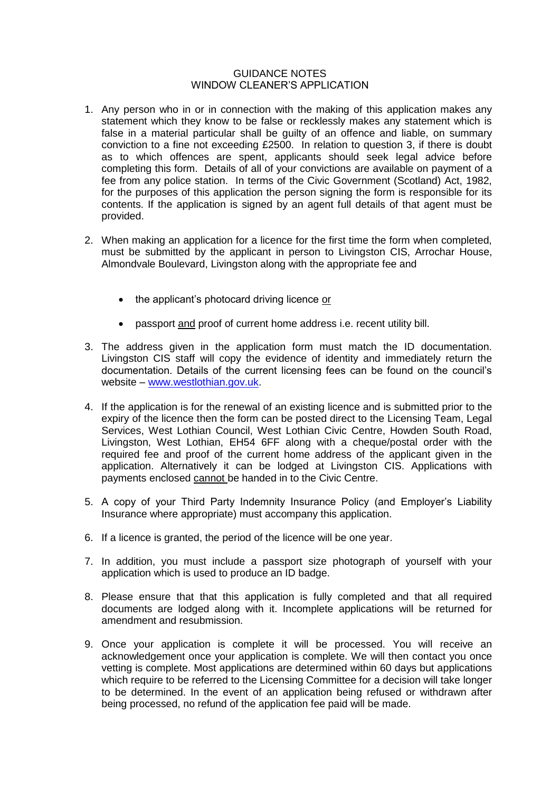# GUIDANCE NOTES WINDOW CLEANER'S APPLICATION

- 1. Any person who in or in connection with the making of this application makes any statement which they know to be false or recklessly makes any statement which is false in a material particular shall be guilty of an offence and liable, on summary conviction to a fine not exceeding £2500. In relation to question 3, if there is doubt as to which offences are spent, applicants should seek legal advice before completing this form. Details of all of your convictions are available on payment of a fee from any police station. In terms of the Civic Government (Scotland) Act, 1982, for the purposes of this application the person signing the form is responsible for its contents. If the application is signed by an agent full details of that agent must be provided.
- 2. When making an application for a licence for the first time the form when completed, must be submitted by the applicant in person to Livingston CIS, Arrochar House, Almondvale Boulevard, Livingston along with the appropriate fee and
	- the applicant's photocard driving licence or
	- passport and proof of current home address i.e. recent utility bill.
- 3. The address given in the application form must match the ID documentation. Livingston CIS staff will copy the evidence of identity and immediately return the documentation. Details of the current licensing fees can be found on the council's website – [www.westlothian.gov.uk.](http://www.westlothian.gov.uk/)
- 4. If the application is for the renewal of an existing licence and is submitted prior to the expiry of the licence then the form can be posted direct to the Licensing Team, Legal Services, West Lothian Council, West Lothian Civic Centre, Howden South Road, Livingston, West Lothian, EH54 6FF along with a cheque/postal order with the required fee and proof of the current home address of the applicant given in the application. Alternatively it can be lodged at Livingston CIS. Applications with payments enclosed cannot be handed in to the Civic Centre.
- 5. A copy of your Third Party Indemnity Insurance Policy (and Employer's Liability Insurance where appropriate) must accompany this application.
- 6. If a licence is granted, the period of the licence will be one year.
- 7. In addition, you must include a passport size photograph of yourself with your application which is used to produce an ID badge.
- 8. Please ensure that that this application is fully completed and that all required documents are lodged along with it. Incomplete applications will be returned for amendment and resubmission.
- 9. Once your application is complete it will be processed. You will receive an acknowledgement once your application is complete. We will then contact you once vetting is complete. Most applications are determined within 60 days but applications which require to be referred to the Licensing Committee for a decision will take longer to be determined. In the event of an application being refused or withdrawn after being processed, no refund of the application fee paid will be made.